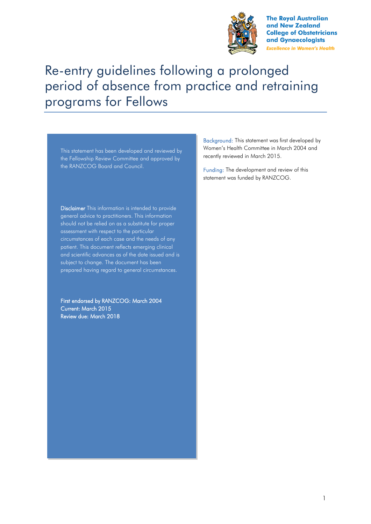

**The Royal Australian** and New Zealand **College of Obstetricians** and Gynaecologists **Excellence in Women's Health** 

# Re-entry guidelines following a prolonged period of absence from practice and retraining programs for Fellows

This statement has been developed and reviewed by the Fellowship Review Committee and approved by the RANZCOG Board and Council.

Disclaimer This information is intended to provide general advice to practitioners. This information should not be relied on as a substitute for proper assessment with respect to the particular circumstances of each case and the needs of any patient. This document reflects emerging clinical and scientific advances as of the date issued and is subject to change. The document has been prepared having regard to general circumstances.

First endorsed by RANZCOG: March 2004 Current: March 2015 Review due: March 2018

Background: This statement was first developed by Women's Health Committee in March 2004 and recently reviewed in March 2015.

Funding: The development and review of this statement was funded by RANZCOG.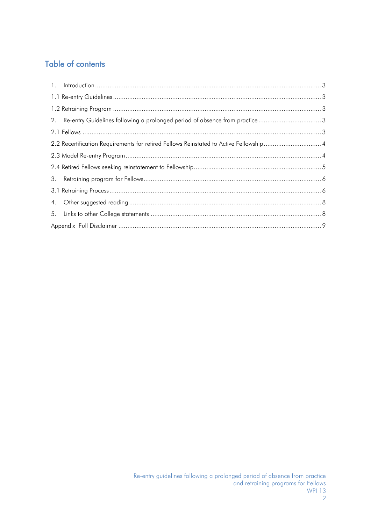## Table of contents

|    | 2. Re-entry Guidelines following a prolonged period of absence from practice3          |  |
|----|----------------------------------------------------------------------------------------|--|
|    |                                                                                        |  |
|    | 2.2 Recertification Requirements for retired Fellows Reinstated to Active Fellowship 4 |  |
|    |                                                                                        |  |
|    |                                                                                        |  |
|    |                                                                                        |  |
|    |                                                                                        |  |
|    |                                                                                        |  |
| 5. |                                                                                        |  |
|    |                                                                                        |  |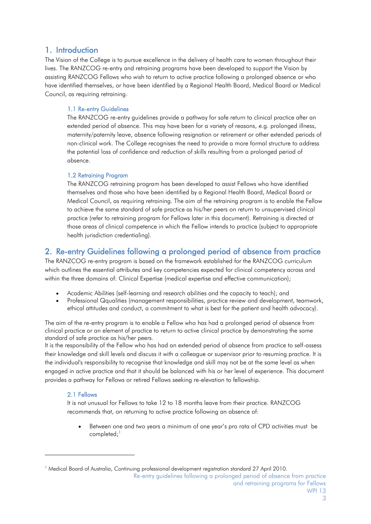### <span id="page-2-0"></span>1. Introduction

The Vision of the College is to pursue excellence in the delivery of health care to women throughout their lives. The RANZCOG re-entry and retraining programs have been developed to support the Vision by assisting RANZCOG Fellows who wish to return to active practice following a prolonged absence or who have identified themselves, or have been identified by a Regional Health Board, Medical Board or Medical Council, as requiring retraining.

#### <span id="page-2-1"></span>1.1 Re-entry Guidelines

The RANZCOG re-entry guidelines provide a pathway for safe return to clinical practice after an extended period of absence. This may have been for a variety of reasons, e.g. prolonged illness, maternity/paternity leave, absence following resignation or retirement or other extended periods of non-clinical work. The College recognises the need to provide a more formal structure to address the potential loss of confidence and reduction of skills resulting from a prolonged period of absence.

#### <span id="page-2-2"></span>1.2 Retraining Program

The RANZCOG retraining program has been developed to assist Fellows who have identified themselves and those who have been identified by a Regional Health Board, Medical Board or Medical Council, as requiring retraining. The aim of the retraining program is to enable the Fellow to achieve the same standard of safe practice as his/her peers on return to unsupervised clinical practice (refer to retraining program for Fellows later in this document). Retraining is directed at those areas of clinical competence in which the Fellow intends to practice (subject to appropriate health jurisdiction credentialing).

## <span id="page-2-3"></span>2. Re-entry Guidelines following a prolonged period of absence from practice

The RANZCOG re-entry program is based on the framework established for the RANZCOG curriculum which outlines the essential attributes and key competencies expected for clinical competency across and within the three domains of: Clinical Expertise (medical expertise and effective communication);

- Academic Abilities (self-learning and research abilities and the capacity to teach); and
- Professional Qqualities (management responsibilities, practice review and development, teamwork, ethical attitudes and conduct, a commitment to what is best for the patient and health advocacy).

The aim of the re-entry program is to enable a Fellow who has had a prolonged period of absence from clinical practice or an element of practice to return to active clinical practice by demonstrating the same standard of safe practice as his/her peers.

It is the responsibility of the Fellow who has had an extended period of absence from practice to self-assess their knowledge and skill levels and discuss it with a colleague or supervisor prior to resuming practice. It is the individual's responsibility to recognise that knowledge and skill may not be at the same level as when engaged in active practice and that it should be balanced with his or her level of experience. This document provides a pathway for Fellows or retired Fellows seeking re-elevation to fellowship.

#### <span id="page-2-4"></span>2.1 Fellows

-

It is not unusual for Fellows to take 12 to 18 months leave from their practice. RANZCOG recommends that, on returning to active practice following an absence of:

 Between one and two years a minimum of one year's pro rata of CPD activities must be completed; $<sup>1</sup>$ </sup>

Re-entry guidelines following a prolonged period of absence from practice and retraining programs for Fellows WPI 13

<sup>&</sup>lt;sup>1</sup> Medical Board of Australia, Continuing professional development registration standard 27 April 2010.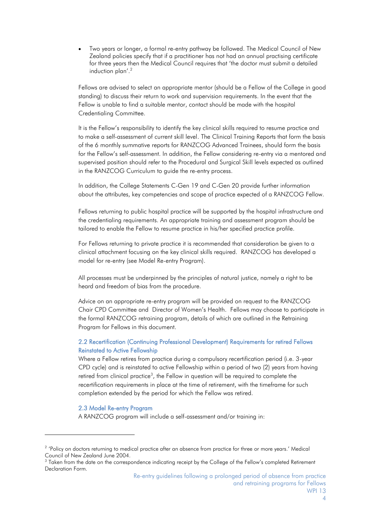Two years or longer, a formal re-entry pathway be followed. The Medical Council of New Zealand policies specify that if a practitioner has not had an annual practising certificate for three years then the Medical Council requires that 'the doctor must submit a detailed induction plan'.<sup>2</sup>

Fellows are advised to select an appropriate mentor (should be a Fellow of the College in good standing) to discuss their return to work and supervision requirements. In the event that the Fellow is unable to find a suitable mentor, contact should be made with the hospital Credentialing Committee.

It is the Fellow's responsibility to identify the key clinical skills required to resume practice and to make a self-assessment of current skill level. The Clinical Training Reports that form the basis of the 6 monthly summative reports for RANZCOG Advanced Trainees, should form the basis for the Fellow's self-assessment. In addition, the Fellow considering re-entry via a mentored and supervised position should refer to the Procedural and Surgical Skill levels expected as outlined in the RANZCOG Curriculum to guide the re-entry process.

In addition, the College Statements C-Gen 19 and C-Gen 20 provide further information about the attributes, key competencies and scope of practice expected of a RANZCOG Fellow.

Fellows returning to public hospital practice will be supported by the hospital infrastructure and the credentialing requirements. An appropriate training and assessment program should be tailored to enable the Fellow to resume practice in his/her specified practice profile.

For Fellows returning to private practice it is recommended that consideration be given to a clinical attachment focusing on the key clinical skills required. RANZCOG has developed a model for re-entry (see Model Re-entry Program).

All processes must be underpinned by the principles of natural justice, namely a right to be heard and freedom of bias from the procedure.

Advice on an appropriate re-entry program will be provided on request to the RANZCOG Chair CPD Committee and Director of Women's Health. Fellows may choose to participate in the formal RANZCOG retraining program, details of which are outlined in the Retraining Program for Fellows in this document.

#### <span id="page-3-0"></span>2.2 Recertification (Continuing Professional Development) Requirements for retired Fellows Reinstated to Active Fellowship

Where a Fellow retires from practice during a compulsory recertification period (i.e. 3-year CPD cycle) and is reinstated to active Fellowship within a period of two (2) years from having retired from clinical practice<sup>3</sup>, the Fellow in question will be required to complete the recertification requirements in place at the time of retirement, with the timeframe for such completion extended by the period for which the Fellow was retired.

#### 2.3 Model Re-entry Program

<span id="page-3-1"></span>-

A RANZCOG program will include a self-assessment and/or training in:

<sup>&</sup>lt;sup>2</sup> 'Policy on doctors returning to medical practice after an absence from practice for three or more years.' Medical Council of New Zealand June 2004.

<sup>&</sup>lt;sup>3</sup> Taken from the date on the correspondence indicating receipt by the College of the Fellow's completed Retirement Declaration Form.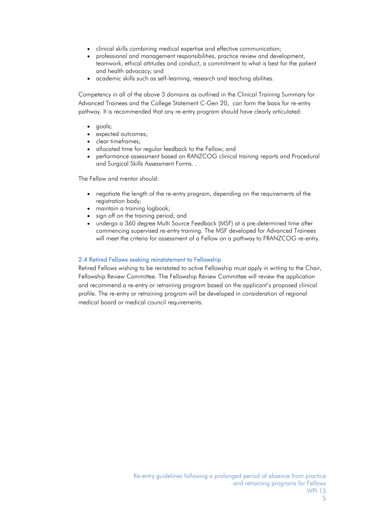- clinical skills combining medical expertise and effective communication;
- professional and management responsibilities, practice review and development, teamwork, ethical attitudes and conduct, a commitment to what is best for the patient and health advocacy; and
- academic skills such as self-learning, research and teaching abilities.

Competency in all of the above 3 domains as outlined in the Clinical Training Summary for Advanced Trainees and the College Statement C-Gen 20, can form the basis for re-entry pathway. It is recommended that any re-entry program should have clearly articulated:

- goals;
- expected outcomes;
- clear timeframes;
- allocated time for regular feedback to the Fellow; and
- performance assessment based on RANZCOG clinical training reports and Procedural and Surgical Skills Assessment Forms. .

The Fellow and mentor should:

- negotiate the length of the re-entry program, depending on the requirements of the registration body;
- maintain a training logbook;
- sign off on the training period; and
- undergo a 360 degree Multi Source Feedback (MSF) at a pre-determined time after commencing supervised re-entry training. The MSF developed for Advanced Trainees will meet the criteria for assessment of a Fellow on a pathway to FRANZCOG re-entry.

#### <span id="page-4-0"></span>2.4 Retired Fellows seeking reinstatement to Fellowship

Retired Fellows wishing to be reinstated to active Fellowship must apply in writing to the Chair, Fellowship Review Committee. The Fellowship Review Committee will review the application and recommend a re-entry or retraining program based on the applicant's proposed clinical profile. The re-entry or retraining program will be developed in consideration of regional medical board or medical council requirements.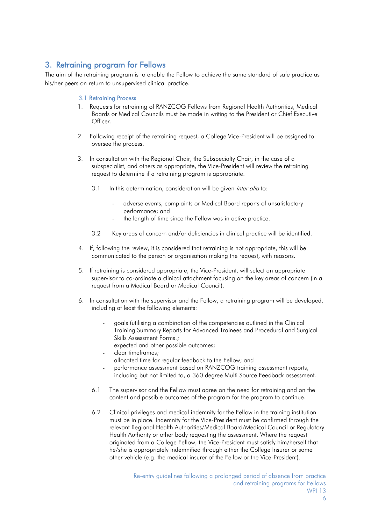## <span id="page-5-0"></span>3. Retraining program for Fellows

<span id="page-5-1"></span>The aim of the retraining program is to enable the Fellow to achieve the same standard of safe practice as his/her peers on return to unsupervised clinical practice.

#### 3.1 Retraining Process

- 1. Requests for retraining of RANZCOG Fellows from Regional Health Authorities, Medical Boards or Medical Councils must be made in writing to the President or Chief Executive Officer.
- 2. Following receipt of the retraining request, a College Vice-President will be assigned to oversee the process.
- 3. In consultation with the Regional Chair, the Subspecialty Chair, in the case of a subspecialist, and others as appropriate, the Vice-President will review the retraining request to determine if a retraining program is appropriate.
	- 3.1 In this determination, consideration will be given *inter alia* to:
		- adverse events, complaints or Medical Board reports of unsatisfactory performance; and
		- the length of time since the Fellow was in active practice.
	- 3.2 Key areas of concern and/or deficiencies in clinical practice will be identified.
- 4. If, following the review, it is considered that retraining is not appropriate, this will be communicated to the person or organisation making the request, with reasons.
- 5. If retraining is considered appropriate, the Vice-President, will select an appropriate supervisor to co-ordinate a clinical attachment focusing on the key areas of concern (in a request from a Medical Board or Medical Council).
- 6. In consultation with the supervisor and the Fellow, a retraining program will be developed, including at least the following elements:
	- goals (utilising a combination of the competencies outlined in the Clinical Training Summary Reports for Advanced Trainees and Procedural and Surgical Skills Assessment Forms.;
	- expected and other possible outcomes;
	- clear timeframes;
	- allocated time for regular feedback to the Fellow; and
	- performance assessment based on RANZCOG training assessment reports, including but not limited to, a 360 degree Multi Source Feedback assessment.
	- 6.1 The supervisor and the Fellow must agree on the need for retraining and on the content and possible outcomes of the program for the program to continue.
	- 6.2 Clinical privileges and medical indemnity for the Fellow in the training institution must be in place. Indemnity for the Vice-President must be confirmed through the relevant Regional Health Authorities/Medical Board/Medical Council or Regulatory Health Authority or other body requesting the assessment. Where the request originated from a College Fellow, the Vice-President must satisfy him/herself that he/she is appropriately indemnified through either the College Insurer or some other vehicle (e.g. the medical insurer of the Fellow or the Vice-President).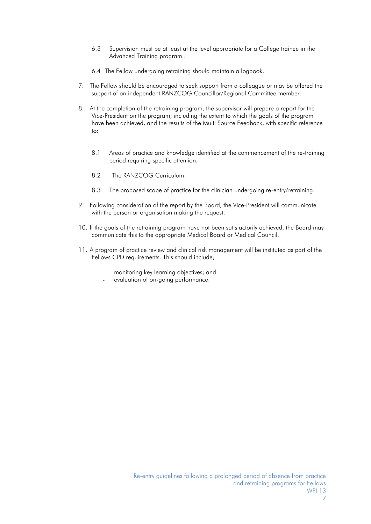- 6.3 Supervision must be at least at the level appropriate for a College trainee in the Advanced Training program..
- 6.4 The Fellow undergoing retraining should maintain a logbook.
- 7. The Fellow should be encouraged to seek support from a colleague or may be offered the support of an independent RANZCOG Councillor/Regional Committee member.
- 8. At the completion of the retraining program, the supervisor will prepare a report for the Vice-President on the program, including the extent to which the goals of the program have been achieved, and the results of the Multi Source Feedback, with specific reference to:
	- 8.1 Areas of practice and knowledge identified at the commencement of the re-training period requiring specific attention.
	- 8.2 The RANZCOG Curriculum.
	- 8.3 The proposed scope of practice for the clinician undergoing re-entry/retraining.
- 9. Following consideration of the report by the Board, the Vice-President will communicate with the person or organisation making the request.
- 10. If the goals of the retraining program have not been satisfactorily achieved, the Board may communicate this to the appropriate Medical Board or Medical Council.
- 11. A program of practice review and clinical risk management will be instituted as part of the Fellows CPD requirements. This should include;
	- monitoring key learning objectives; and
	- evaluation of on-going performance.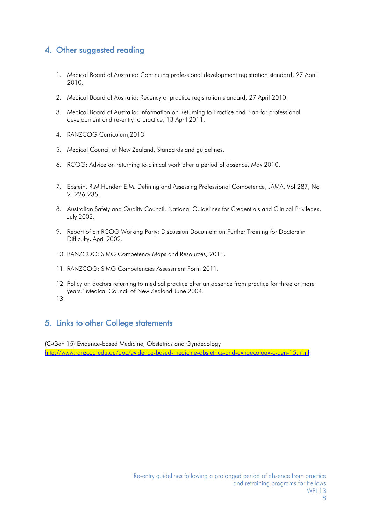## <span id="page-7-0"></span>4. Other suggested reading

- 1. Medical Board of Australia: Continuing professional development registration standard, 27 April 2010.
- 2. Medical Board of Australia: Recency of practice registration standard, 27 April 2010.
- 3. Medical Board of Australia: Information on Returning to Practice and Plan for professional development and re-entry to practice, 13 April 2011.
- 4. RANZCOG Curriculum,2013.
- 5. Medical Council of New Zealand, Standards and guidelines.
- 6. RCOG: Advice on returning to clinical work after a period of absence, May 2010.
- 7. Epstein, R.M Hundert E.M. Defining and Assessing Professional Competence, JAMA, Vol 287, No 2. 226-235.
- 8. Australian Safety and Quality Council. National Guidelines for Credentials and Clinical Privileges, July 2002.
- 9. Report of an RCOG Working Party: Discussion Document on Further Training for Doctors in Difficulty, April 2002.
- 10. RANZCOG: SIMG Competency Maps and Resources, 2011.
- 11. RANZCOG: SIMG Competencies Assessment Form 2011.
- 12. Policy on doctors returning to medical practice after an absence from practice for three or more years.' Medical Council of New Zealand June 2004.
- 13.

## <span id="page-7-1"></span>5. Links to other College statements

(C-Gen 15) Evidence-based Medicine, Obstetrics and Gynaecology <http://www.ranzcog.edu.au/doc/evidence-based-medicine-obstetrics-and-gynaecology-c-gen-15.html>